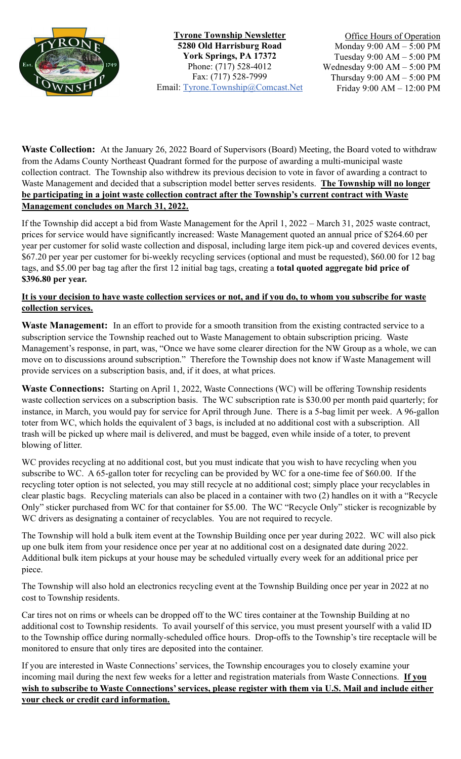

**Tyrone Township Newsletter 5280 Old Harrisburg Road York Springs, PA 17372** Phone: (717) 528-4012 Fax: (717) 528-7999 Email: [Tyrone.Township@Comcast.Net](mailto:Tyrone.Township@Comcast.Net)

Office Hours of Operation Monday 9:00 AM – 5:00 PM Tuesday 9:00 AM – 5:00 PM Wednesday 9:00 AM – 5:00 PM Thursday 9:00 AM – 5:00 PM Friday 9:00 AM – 12:00 PM

**Waste Collection:** At the January 26, 2022 Board of Supervisors (Board) Meeting, the Board voted to withdraw from the Adams County Northeast Quadrant formed for the purpose of awarding a multi-municipal waste collection contract. The Township also withdrew its previous decision to vote in favor of awarding a contract to Waste Management and decided that a subscription model better serves residents. **The Township will no longer be participating in a joint waste collection contract after the Township's current contract with Waste Management concludes on March 31, 2022.** 

If the Township did accept a bid from Waste Management for the April 1, 2022 – March 31, 2025 waste contract, prices for service would have significantly increased: Waste Management quoted an annual price of \$264.60 per year per customer for solid waste collection and disposal, including large item pick-up and covered devices events, \$67.20 per year per customer for bi-weekly recycling services (optional and must be requested), \$60.00 for 12 bag tags, and \$5.00 per bag tag after the first 12 initial bag tags, creating a **total quoted aggregate bid price of \$396.80 per year.**

## **It is your decision to have waste collection services or not, and if you do, to whom you subscribe for waste collection services.**

**Waste Management:** In an effort to provide for a smooth transition from the existing contracted service to a subscription service the Township reached out to Waste Management to obtain subscription pricing. Waste Management's response, in part, was, "Once we have some clearer direction for the NW Group as a whole, we can move on to discussions around subscription." Therefore the Township does not know if Waste Management will provide services on a subscription basis, and, if it does, at what prices.

**Waste Connections:** Starting on April 1, 2022, Waste Connections (WC) will be offering Township residents waste collection services on a subscription basis. The WC subscription rate is \$30.00 per month paid quarterly; for instance, in March, you would pay for service for April through June. There is a 5-bag limit per week. A 96-gallon toter from WC, which holds the equivalent of 3 bags, is included at no additional cost with a subscription. All trash will be picked up where mail is delivered, and must be bagged, even while inside of a toter, to prevent blowing of litter.

WC provides recycling at no additional cost, but you must indicate that you wish to have recycling when you subscribe to WC. A 65-gallon toter for recycling can be provided by WC for a one-time fee of \$60.00. If the recycling toter option is not selected, you may still recycle at no additional cost; simply place your recyclables in clear plastic bags. Recycling materials can also be placed in a container with two (2) handles on it with a "Recycle Only" sticker purchased from WC for that container for \$5.00. The WC "Recycle Only" sticker is recognizable by WC drivers as designating a container of recyclables. You are not required to recycle.

The Township will hold a bulk item event at the Township Building once per year during 2022. WC will also pick up one bulk item from your residence once per year at no additional cost on a designated date during 2022. Additional bulk item pickups at your house may be scheduled virtually every week for an additional price per piece.

The Township will also hold an electronics recycling event at the Township Building once per year in 2022 at no cost to Township residents.

Car tires not on rims or wheels can be dropped off to the WC tires container at the Township Building at no additional cost to Township residents. To avail yourself of this service, you must present yourself with a valid ID to the Township office during normally-scheduled office hours. Drop-offs to the Township's tire receptacle will be monitored to ensure that only tires are deposited into the container.

If you are interested in Waste Connections' services, the Township encourages you to closely examine your incoming mail during the next few weeks for a letter and registration materials from Waste Connections. **If you wish to subscribe to Waste Connections' services, please register with them via U.S. Mail and include either your check or credit card information.**